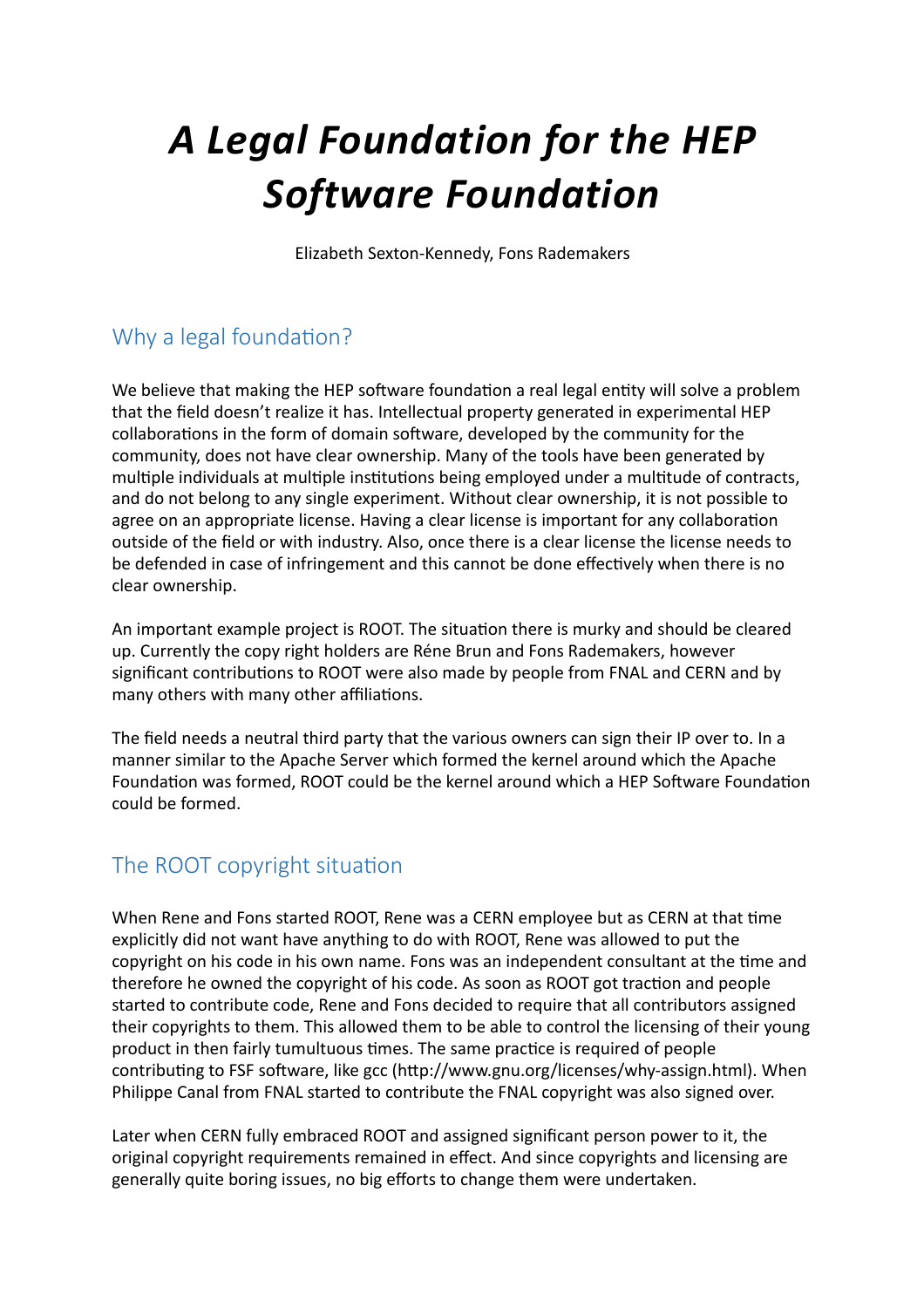# *A Legal Foundation for the HEP*  **Software Foundation**

Elizabeth Sexton-Kennedy, Fons Rademakers

# Why a legal foundation?

We believe that making the HEP software foundation a real legal entity will solve a problem that the field doesn't realize it has. Intellectual property generated in experimental HEP collaborations in the form of domain software, developed by the community for the community, does not have clear ownership. Many of the tools have been generated by multiple individuals at multiple institutions being employed under a multitude of contracts, and do not belong to any single experiment. Without clear ownership, it is not possible to agree on an appropriate license. Having a clear license is important for any collaboration outside of the field or with industry. Also, once there is a clear license the license needs to be defended in case of infringement and this cannot be done effectively when there is no clear ownership.

An important example project is ROOT. The situation there is murky and should be cleared up. Currently the copy right holders are Réne Brun and Fons Rademakers, however significant contributions to ROOT were also made by people from FNAL and CERN and by many others with many other affiliations.

The field needs a neutral third party that the various owners can sign their IP over to. In a manner similar to the Apache Server which formed the kernel around which the Apache Foundation was formed, ROOT could be the kernel around which a HEP Software Foundation could be formed.

## The ROOT copyright situation

When Rene and Fons started ROOT, Rene was a CERN employee but as CERN at that time explicitly did not want have anything to do with ROOT, Rene was allowed to put the copyright on his code in his own name. Fons was an independent consultant at the time and therefore he owned the copyright of his code. As soon as ROOT got traction and people started to contribute code, Rene and Fons decided to require that all contributors assigned their copyrights to them. This allowed them to be able to control the licensing of their young product in then fairly tumultuous times. The same practice is required of people contributing to FSF software, like gcc (http://www.gnu.org/licenses/why-assign.html). When Philippe Canal from FNAL started to contribute the FNAL copyright was also signed over.

Later when CERN fully embraced ROOT and assigned significant person power to it, the original copyright requirements remained in effect. And since copyrights and licensing are generally quite boring issues, no big efforts to change them were undertaken.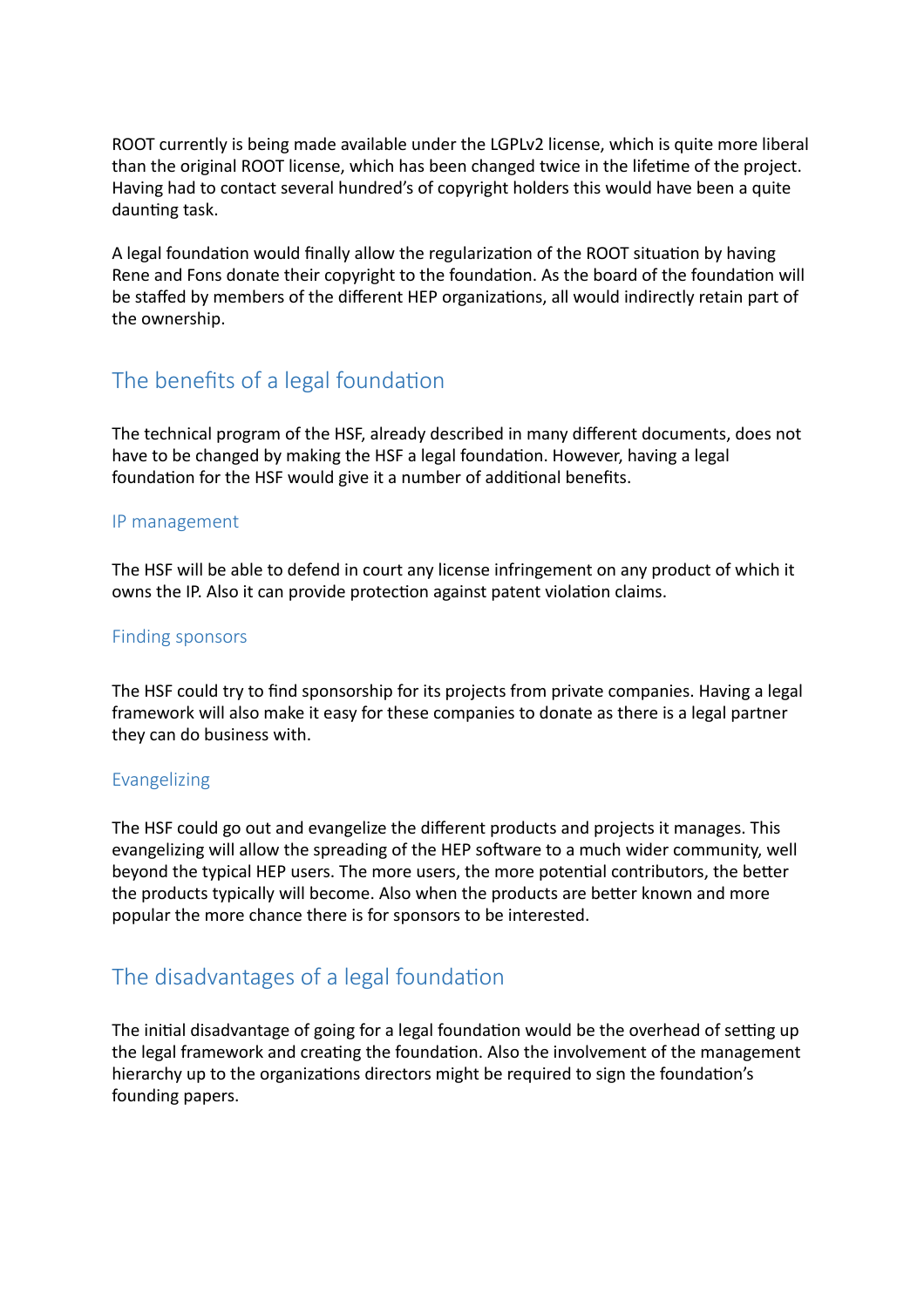ROOT currently is being made available under the LGPLv2 license, which is quite more liberal than the original ROOT license, which has been changed twice in the lifetime of the project. Having had to contact several hundred's of copyright holders this would have been a quite daunting task.

A legal foundation would finally allow the regularization of the ROOT situation by having Rene and Fons donate their copyright to the foundation. As the board of the foundation will be staffed by members of the different HEP organizations, all would indirectly retain part of the ownership.

## The benefits of a legal foundation

The technical program of the HSF, already described in many different documents, does not have to be changed by making the HSF a legal foundation. However, having a legal foundation for the HSF would give it a number of additional benefits.

#### IP management

The HSF will be able to defend in court any license infringement on any product of which it owns the IP. Also it can provide protection against patent violation claims.

#### Finding sponsors

The HSF could try to find sponsorship for its projects from private companies. Having a legal framework will also make it easy for these companies to donate as there is a legal partner they can do business with.

#### Evangelizing

The HSF could go out and evangelize the different products and projects it manages. This evangelizing will allow the spreading of the HEP software to a much wider community, well beyond the typical HEP users. The more users, the more potential contributors, the better the products typically will become. Also when the products are better known and more popular the more chance there is for sponsors to be interested.

## The disadvantages of a legal foundation

The initial disadvantage of going for a legal foundation would be the overhead of setting up the legal framework and creating the foundation. Also the involvement of the management hierarchy up to the organizations directors might be required to sign the foundation's founding papers.